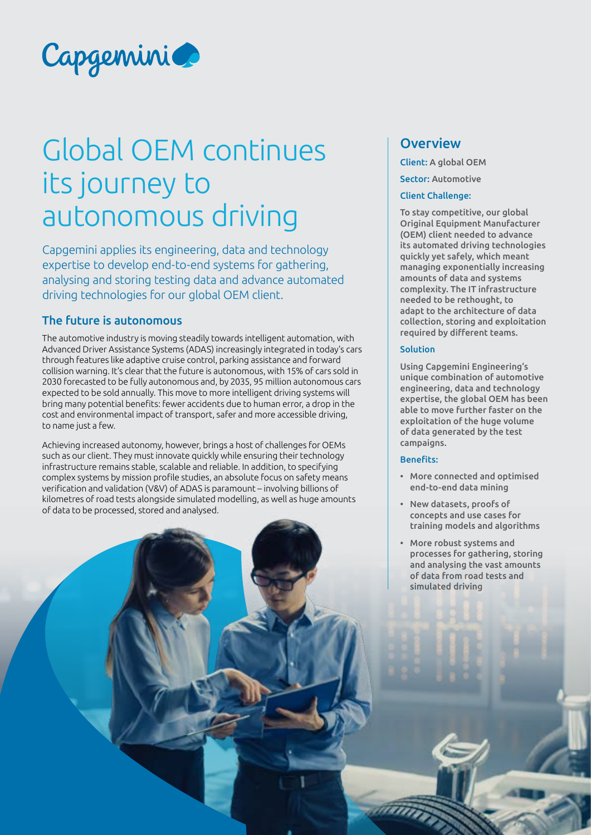

# Global OEM continues its journey to autonomous driving

Capgemini applies its engineering, data and technology expertise to develop end-to-end systems for gathering, analysing and storing testing data and advance automated driving technologies for our global OEM client.

### The future is autonomous

The automotive industry is moving steadily towards intelligent automation, with Advanced Driver Assistance Systems (ADAS) increasingly integrated in today's cars through features like adaptive cruise control, parking assistance and forward collision warning. It's clear that the future is autonomous, with 15% of cars sold in 2030 forecasted to be fully autonomous and, by 2035, 95 million autonomous cars expected to be sold annually. This move to more intelligent driving systems will bring many potential benefits: fewer accidents due to human error, a drop in the cost and environmental impact of transport, safer and more accessible driving, to name just a few.

Achieving increased autonomy, however, brings a host of challenges for OEMs such as our client. They must innovate quickly while ensuring their technology infrastructure remains stable, scalable and reliable. In addition, to specifying complex systems by mission profile studies, an absolute focus on safety means verification and validation (V&V) of ADAS is paramount – involving billions of kilometres of road tests alongside simulated modelling, as well as huge amounts of data to be processed, stored and analysed.

## **Overview**

Client: A global OEM

Sector: Automotive

#### Client Challenge:

To stay competitive, our global Original Equipment Manufacturer (OEM) client needed to advance its automated driving technologies quickly yet safely, which meant managing exponentially increasing amounts of data and systems complexity. The IT infrastructure needed to be rethought, to adapt to the architecture of data collection, storing and exploitation required by different teams.

#### Solution

Using Capgemini Engineering's unique combination of automotive engineering, data and technology expertise, the global OEM has been able to move further faster on the exploitation of the huge volume of data generated by the test campaigns.

#### Benefits:

- More connected and optimised end-to-end data mining
- New datasets, proofs of concepts and use cases for training models and algorithms
- More robust systems and processes for gathering, storing and analysing the vast amounts of data from road tests and simulated driving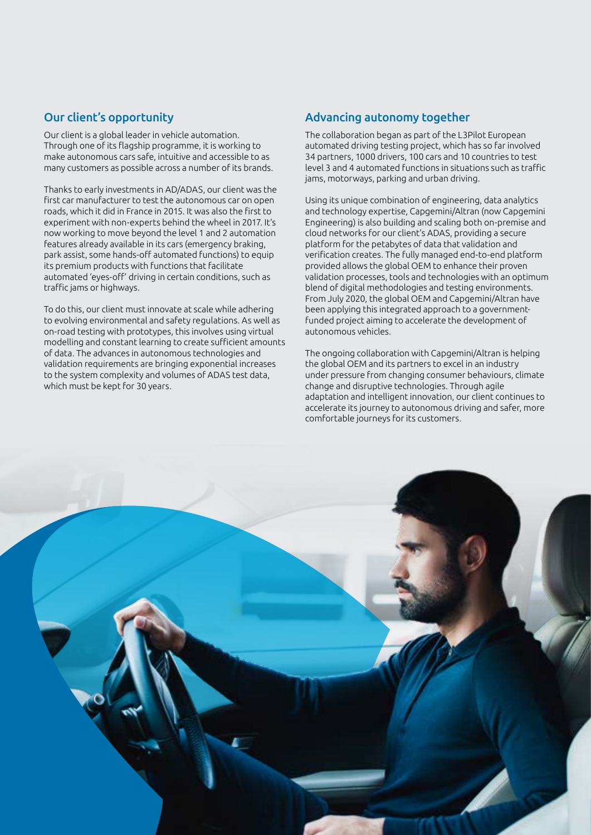## Our client's opportunity

Our client is a global leader in vehicle automation. Through one of its flagship programme, it is working to make autonomous cars safe, intuitive and accessible to as many customers as possible across a number of its brands.

Thanks to early investments in AD/ADAS, our client was the first car manufacturer to test the autonomous car on open roads, which it did in France in 2015. It was also the first to experiment with non-experts behind the wheel in 2017. It's now working to move beyond the level 1 and 2 automation features already available in its cars (emergency braking, park assist, some hands-off automated functions) to equip its premium products with functions that facilitate automated 'eyes-off' driving in certain conditions, such as traffic jams or highways.

To do this, our client must innovate at scale while adhering to evolving environmental and safety regulations. As well as on-road testing with prototypes, this involves using virtual modelling and constant learning to create sufficient amounts of data. The advances in autonomous technologies and validation requirements are bringing exponential increases to the system complexity and volumes of ADAS test data, which must be kept for 30 years.

## Advancing autonomy together

The collaboration began as part of the L3Pilot European automated driving testing project, which has so far involved 34 partners, 1000 drivers, 100 cars and 10 countries to test level 3 and 4 automated functions in situations such as traffic jams, motorways, parking and urban driving.

Using its unique combination of engineering, data analytics and technology expertise, Capgemini/Altran (now Capgemini Engineering) is also building and scaling both on-premise and cloud networks for our client's ADAS, providing a secure platform for the petabytes of data that validation and verification creates. The fully managed end-to-end platform provided allows the global OEM to enhance their proven validation processes, tools and technologies with an optimum blend of digital methodologies and testing environments. From July 2020, the global OEM and Capgemini/Altran have been applying this integrated approach to a governmentfunded project aiming to accelerate the development of autonomous vehicles.

The ongoing collaboration with Capgemini/Altran is helping the global OEM and its partners to excel in an industry under pressure from changing consumer behaviours, climate change and disruptive technologies. Through agile adaptation and intelligent innovation, our client continues to accelerate its journey to autonomous driving and safer, more comfortable journeys for its customers.